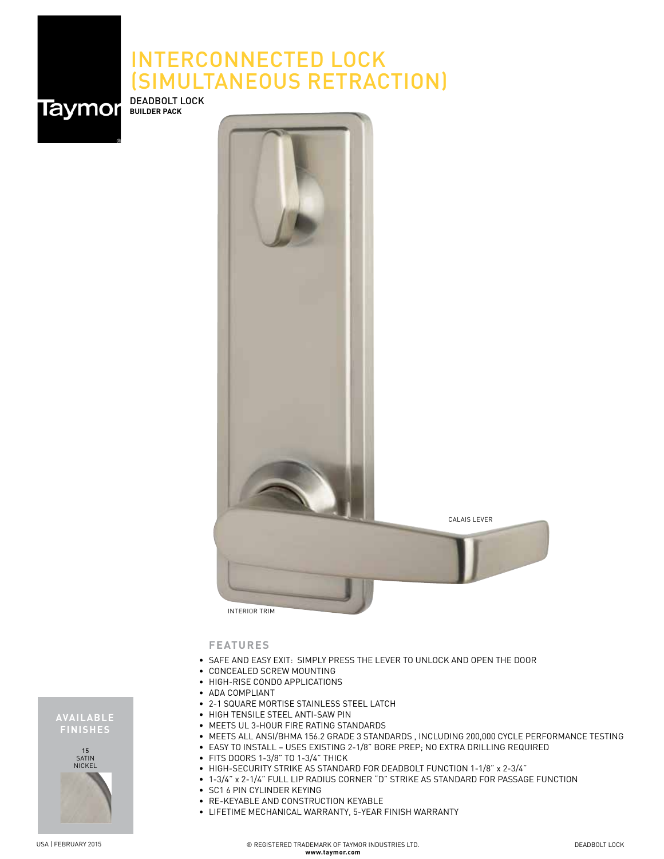## INTERCONNECTED LOCK (SIMULTANEOUS RETRACTION)



DEADBOLT LOCK **BUILDER PACK**



**FEATURES**

- SAFE AND EASY EXIT: SIMPLY PRESS THE LEVER TO UNLOCK AND OPEN THE DOOR
- CONCEALED SCREW MOUNTING
- HIGH-RISE CONDO APPLICATIONS
- ADA COMPLIANT
- 2-1 SQUARE MORTISE STAINLESS STEEL LATCH
- HIGH TENSILE STEEL ANTI-SAW PIN
- MEETS UL 3-HOUR FIRE RATING STANDARDS
- MEETS ALL ANSI/BHMA 156.2 GRADE 3 STANDARDS , INCLUDING 200,000 CYCLE PERFORMANCE TESTING
- EASY TO INSTALL USES EXISTING 2-1/8" BORE PREP; NO EXTRA DRILLING REQUIRED
- FITS DOORS 1-3/8" TO 1-3/4" THICK
- HIGH-SECURITY STRIKE AS STANDARD FOR DEADBOLT FUNCTION 1-1/8" x 2-3/4"
- 1-3/4" x 2-1/4" FULL LIP RADIUS CORNER "D" STRIKE AS STANDARD FOR PASSAGE FUNCTION
- SC1 6 PIN CYLINDER KEYING
- RE-KEYABLE AND CONSTRUCTION KEYABLE
- LIFETIME MECHANICAL WARRANTY, 5-YEAR FINISH WARRANTY

**AVAILABLE FINISHES** 15 SATIN NICKEL

® REGISTERED TRADEMARK OF TAYMOR INDUSTRIES LTD. **www.taymor.com**